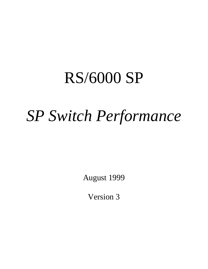## RS/6000 SP

# *SP Switch Performance*

August 1999

Version 3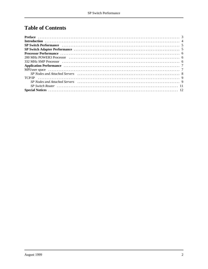## **Table of Contents**

| SP Nodes and Attached Servers (and the contract of the server of the server of the server of the server of the |
|----------------------------------------------------------------------------------------------------------------|
|                                                                                                                |
|                                                                                                                |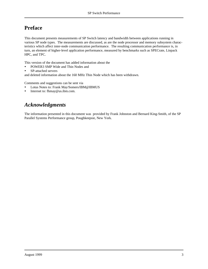#### **Preface**

This document presents measurements of SP Switch latency and bandwidth between applications running in various SP node types. The measurements are discussed, as are the node processor and memory subsystem characteristics which affect inter-node communication performance. The resulting communication performance is, in turn, an element of higher-level application performance, measured by benchmarks such as SPECrate, Linpack HPC, and TPC.

This version of the document has added information about the

- POWER3 SMP Wide and Thin Nodes and
- SP-attached servers

and deleted information about the 160 MHz Thin Node which has been withdrawn.

Comments and suggestions can be sent via

- Lotus Notes to: Frank May/Somers/IBM@IBMUS
- Internet to: fhmay@us.ibm.com.

#### *Acknowledgments*

The information presented in this document was provided by Frank Johnston and Bernard King-Smith, of the SP Parallel Systems Performance group, Poughkeepsie, New York.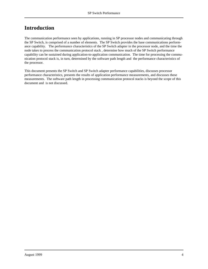#### **Introduction**

The communication performance seen by applications, running in SP processor nodes and communicating through the SP Switch, is comprised of a number of elements. The SP Switch provides the base communications performance capability. The performance characteristics of the SP Switch adapter in the processor node, and the time the node takes to process the communication protocol stack , determine how much of the SP Switch performance capability can be sustained during application-to-application communication. The time for processing the communication protocol stack is, in turn, determined by the software path length and the performance characteristics of the processor.

This document presents the SP Switch and SP Switch adapter performance capabilities, discusses processor performance characteristics, presents the results of application performance measurements, and discusses these measurements. The software path length in processing communication protocol stacks is beyond the scope of this document and is not discussed.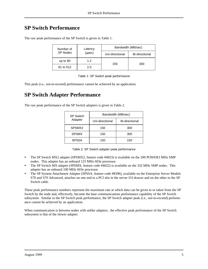#### **SP Switch Performance**

| Number of       | Latency        |                 | Bandwidth (MB/sec)    |  |
|-----------------|----------------|-----------------|-----------------------|--|
| <b>SP Nodes</b> | $(\mu$ sec $)$ | Uni-directional | <b>Bi-directional</b> |  |
| up to $80$      | 1.2            | 150             | 300                   |  |
| 81 to 512       | 2.0            |                 |                       |  |

The raw peak performance of the SP Switch is given in Table 1.

|  | Table 1: SP Switch peak performance |
|--|-------------------------------------|
|--|-------------------------------------|

This peak (i.e., not-to-exceed) performance cannot be achieved by an application.

#### **SP Switch Adapter Performance**

The raw peak performance of the SP Switch adapters is given in Table 2.

| <b>SP Switch</b>   | Bandwidth (MB/sec) |                       |  |  |
|--------------------|--------------------|-----------------------|--|--|
| Adapter            | Uni-directional    | <b>Bi-directional</b> |  |  |
| SPSMX <sub>2</sub> | 150                | 300                   |  |  |
| <b>SPSMX</b>       | 150                | 300                   |  |  |
| <b>SPSSA</b>       | 150                | 150                   |  |  |

Table 2: SP Switch adapter peak performance

- The SP Switch MX2 adapter (SPSMX2, feature code #4023) is available on the 200 POWER3 MHz SMP nodes. This adapter has an onboard 125 MHz 603e processor.
- ü The SP Switch MX adapter (SPSMX, feature code #4022) is available on the 332 MHz SMP nodes. This adapter has an onboard 100 MHz 603e processor.
- ü The SP System Attachment Adapter (SPSSA, feature code #8396), available on the Enterprise Server Models S70 and S70 Advanced, attaches on one end to a PCI slot in the server I/O drawer and on the other to the SP Switch cable.

These peak performance numbers represent the maximum rate at which data can be given to or taken from the SP Switch by the node and, effectively, become the base communications performance capability of the SP Switch subsystem. Similar to the SP Switch peak performance, the SP Switch adapter peak (i.e., not-to-exceed) performance cannot be achieved by an application.

When communication is between nodes with unlike adapters, the effective peak performance of the SP Switch subsystem is that of the slower adapter.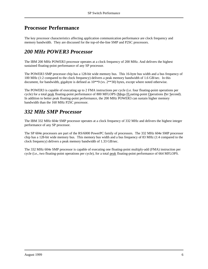#### **Processor Performance**

The key processor characteristics affecting application communication performance are clock frequency and memory bandwidth. They are discussed for the top-of-the-line SMP and P2SC processors.

#### *200 MHz POWER3 Processor*

The IBM 200 MHz POWER3 processor operates at a clock frequency of 200 MHz. And delivers the highest sustained floating-point performance of any SP processor.

The POWER3 SMP processor chip has a 128-bit wide memory bus. This 16-byte bus width and a bus frequency of 100 MHz (1:2 compared to the clock frequency) delivers a peak memory bandwidth of 1.6 GB/sec. In this document, for bandwidth, gigabyte is defined as 10\*\*9 (vs. 2\*\*30) bytes, except where noted otherwise.

The POWER3 is capable of executing up to 2 FMA instructions per cycle (i.e. four floating-point operations per cycle) for a total peak floating-point performance of 800 MFLOPS (Mega FLoating-point Operations Per Second). In addition to better peak floating-point performance, the 200 MHz POWER3 can sustain higher memory bandwidth than the 160 MHz P2SC processor.

#### *332 MHz SMP Processor*

The IBM 332 MHz 604e SMP processor operates at a clock frequency of 332 MHz and delivers the highest integer performance of any SP processor.

The SP 604e processors are part of the RS/6000 PowerPC family of processors. The 332 MHz 604e SMP processor chip has a 128-bit wide memory bus. This memory bus width and a bus frequency of 83 MHz (1:4 compared to the clock frequency) delivers a peak memory bandwidth of 1.33 GB/sec.

The 332 MHz 604e SMP processor is capable of executing one floating-point multiply-add (FMA) instruction per cycle (i.e., two floating-point operations per cycle), for a total peak floating-point performance of 664 MFLOPS.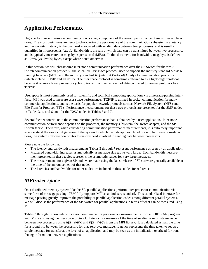## **Application Performance**

High-performance inter-node communication is a key component of the overall performance of many user applications. The most basic measurements to characterize the performance of the communication subsystem are *latency* and *bandwidth*. Latency is the overhead associated with sending data between two processors, and is usually quantified in microseconds (μsec). Bandwidth is the rate at which data can be transmitted between two processors, and is typically measured in megabytes per second (MB/s). In this document, for bandwidth, megabyte is defined as 10\*\*6 (vs. 2\*\*20) bytes, except where noted otherwise.

In this section, we will characterize inter-node communication performance over the SP Switch for the two SP Switch communication protocols: the so-called *user space* protocol, used to support the industry standard Message Passing Interface (MPI), and the industry standard *IP (Internet Protocol) family* of communication protocols (which include TCP/IP and UDP/IP). The user space protocol is sometimes referred to as a lightweight protocol because it requires fewer processor cycles to transmit a given amount of data compared to heavier protocols like TCP/IP.

User space is most commonly used for scientific and technical computing applications via a message-passing interface. MPI was used to measure user space performance. TCP/IP is utilized in socket communication for many commercial applications, and is the basis for popular network protocols such as Network File System (NFS) and File Transfer Protocol (FTP). Performance measurements for these two protocols are presented for the SMP nodes in Tables 3, 4, and 6, and for the P2SC nodes in Tables 5 and 7.

Several factors contribute to the communication performance that is obtained by a user application. Inter-node communication performance depends on the processor, the memory subsystem, the switch adapter, and the SP Switch fabric. Therefore, when considering communication performance measurements, it is extremely important to understand the exact configuration of the system to which the data applies. In addition to hardware considerations, the system software contributes to the overhead involved in sending data between processors.

Please note the following:

- The latency and bandwidth measurements Tables 3 through 7 represent performance as seen by an application.
- ü Measured bandwidth increases asymptotically as message size grows very large. Each bandwidth measurement presented in these tables represents the asymptotic values for very large messages.
- The measurements for a given SP node were made using the latest release of SP software generally available at the time of the announcement of that node.
- ü The latencies and bandwidths for older nodes are included in these tables for reference.

#### *MPI/user space*

On a distributed-memory system like the SP, parallel applications perform inter-processor communication via some form of message passing. IBM fully supports MPI as an industry standard. This standardized interface for message-passing greatly improves the portability of parallel application codes among different parallel systems. We will discuss the performance of the SP Switch for parallel applications in terms of what can be measured using MPI.

Tables 3 through 5 show inter-processor communication performance measurements from a FORTRAN program with MPI calls, using the user space protocol. Latency is a measure of the time of sending a zero byte message between two processors using **mpi\_send** and **mpi\_recv** from the MPI library. It is calculated as half the time for a round trip between the processors for that zero byte message. Latency represents the time taken to set up a single message for transfer at the level of an application, and may be seen as the initialization overhead for transferring information between applications.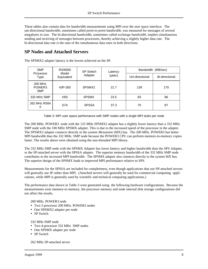These tables also contain data for bandwidth measurements using MPI over the user space interface. The uni-directional bandwidth, sometimes called *point-to-point* bandwidth, was measured for messages of several megabytes in size. The bi-directional bandwidth, sometimes called *exchange bandwidth*, implies simultaneous sending and receiving of messages between processors, thereby achieving a slightly higher data rate. The bi-directional data rate is the sum of the simultaneous data rates in both directions.

#### **SP Nodes and Attached Servers**

| <b>SMP</b>                       | RS/6000             | <b>SP Switch</b>          | Latency | (MB/sec)<br>Bandwidth |                |  |
|----------------------------------|---------------------|---------------------------|---------|-----------------------|----------------|--|
| Processor<br>Type                | Model<br>Equivalent | Adapter<br>$(\mu$ sec $)$ |         | Uni-directional       | Bi-directional |  |
| 200 MHz.<br>POWER3<br><b>SMP</b> | 43P-260             | SPSMX <sub>2</sub>        | 21.7    | 139                   | 170            |  |
| 332 MHz SMP                      | H <sub>50</sub>     | <b>SPSMX</b>              | 23.5    | 83                    | 86             |  |
| 262 MHz RS64<br>Ш                | S7A                 | <b>SPSSA</b>              | 37.3    | 70                    | 87             |  |

The SPSMX2 adapter latency is the lowest achieved on the SP.

Table 3: MPI user space performance with SMP nodes with a single MPI tasks per node

The 200 MHz. POWER3 node with the 125 MHz SPSMX2 adapter has a slightly lower latency than a 332 MHz SMP node with the 100 MHz SPSMX adapter. This is due to the increased speed of the processor in the adapter. The SPSMX2 adapter connects directly to the system *Mezzanine* (MX) bus. The 200 MHz. POWER3 has better MPI bandwidth than the 332 MHz. SMP node because the POWER3 CPU can perform memory-to-memory copies faster. The results above were obtained using the non-threaded MPI library.

The 332 MHz SMP node with the SPSMX Adapter has lower latency and higher bandwidth than the SPS Adapter, or the SP-attached server with the SPSSA adapter. The superior memory bandwidth of the 332 MHz SMP node contributes to the increased MPI bandwidth. The SPSMX adapter also connects directly to the system MX bus. The superior design of the SPSMX leads to improved MPI performance relative to SPS.

Measurements for the SPSSA are included for completeness, even though applications that use SP-attached servers will generally use IP rather than MPI. (Attached servers will generally be used for commercial computing applications, while MPI is generally used by scientific and technical computing applications.)

The performance data shown in Table 3 were generated using the following hardware configurations. Because the measurements were memory-to memory, the processor memory and node internal disk storage configurations did not affect the results.

200 MHz. POWER3 node

- ü Two 2-processor 200 MHz. POWER3 nodes
- One SPSMX2 adapter per node
- SP Switch

332 MHz SMP node

- Two 4-processor 332 MHz SMP nodes
- One SPSMX adapter per node
- SP Switch

262 MHz SP-attached server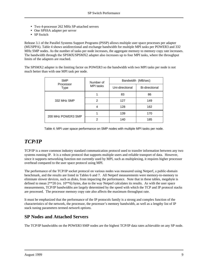- ü Two 4-processor 262 MHz SP-attached servers
- One SPSSA adapter per server
- SP Switch

Release 3.1 of the Parallel Systems Support Programs (PSSP) allows multiple user space processes per adapter (MUSPPA). Table 4 shows unidirectional and exchange bandwidth for multiple MPI tasks per POWER3 and 332 MHz SMP nodes. As the number of tasks per node increases, the aggregate memory to memory copy rate increases. The bandwidth through the SPSMX/SPSMX2 adapter also increases up to four MPI tasks, where the throughput limits of the adapters are reached.

The SPSMX2 adapter is the limiting factor on POWER3 so the bandwidth with two MPI tasks per node is not much better than with one MPI task per node.

| <b>SMP</b>         | Number of        | Bandwidth (MB/sec) |                |  |
|--------------------|------------------|--------------------|----------------|--|
| Processor<br>Type  | <b>MPI</b> tasks | Uni-directional    | Bi-directional |  |
|                    |                  | 83                 | 86             |  |
| 332 MHz SMP        | 2                | 127                | 149            |  |
|                    |                  | 128                | 162            |  |
| 200 MHz POWER3 SMP |                  | 139                | 170            |  |
|                    | າ                | 140                | 185            |  |

Table 4: MPI user space performance on SMP nodes with multiple MPI tasks per node.

## *TCP/IP*

TCP/IP is a more common industry standard communication protocol used to transfer information between any two systems running IP. It is a robust protocol that supports multiple users and reliable transport of data. However, since it supports networking function not currently used by MPI, such as multiplexing, it requires higher processor overhead compared to the user space protocol using MPI.

The performance of the TCP/IP socket protocol on various nodes was measured using Netperf, a public-domain benchmark, and the results are listed in Tables 6 and 7. All Netperf measurements were memory-to-memory to eliminate slower devices, such as disks, from impacting the performance. Note that in these tables, megabyte is defined to mean 2\*\*20 (vs. 10\*\*6) bytes, due to the way Netperf calculates its results. As with the user space measurements, TCP/IP bandwidths are largely determined by the speed with which the TCP and IP protocol stacks are processed. The processor memory copy rate also affects the maximum throughput rate.

It must be emphasized that the performance of the IP protocols family is a strong and complex function of the characteristics of the network, the processor, the processor's memory bandwidth, as well as a lengthy list of IP stack tuning parameters termed *network options*.

#### **SP Nodes and Attached Servers**

The TCP/IP bandwidths on the POWER3 SMP nodes are the highest TCP/IP data rates achievable on any SP node.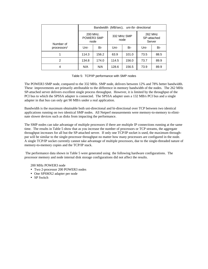|                         | uni-/bi- directional<br>Bandwidth (MB/sec), |       |                     |       |                                  |      |
|-------------------------|---------------------------------------------|-------|---------------------|-------|----------------------------------|------|
| Number of               | 200 MHz.<br>POWER3 SMP<br>node              |       | 332 MHz SMP<br>node |       | 262 MHz<br>SP-attached<br>Server |      |
| processors <sup>1</sup> | Uni-                                        | Bi-   | Uni-                | Bi-   | Uni-                             | Bi-  |
|                         | 114.3                                       | 156.2 | 63.9                | 101.0 | 73.5                             | 88.5 |
| 2                       | 134.8                                       | 174.0 | 114.5               | 156.0 | 73.7                             | 89.9 |
| 4                       | N/A                                         | N/A   | 128.6               | 156.5 | 73.9                             | 89.9 |

Table 5: TCP/IP performance with SMP nodes

The POWER3 SMP node, compared to the 332 MHz. SMP node, delivers between 12% and 78% better bandwidth. These improvements are primarily attributable to the difference in memory bandwidth of the nodes. The 262 MHz SP-attached server delivers excellent single process throughput. However, it is limited by the throughput of the PCI bus to which the SPSSA adapter is connected. The SPSSA adapter uses a 132 MB/s PCI bus and a single adapter in that bus can only get 90 MB/s under a real application.

Bandwidth is the maximum obtainable both uni-directional and bi-directional over TCP between two identical applications running on two identical SMP nodes. All Netperf measurements were memory-to-memory to eliminate slower devices such as disks from impacting the performance.

The SMP nodes can take advantage of multiple processors if there are multiple IP connections running at the same time. The results in Table 5 show that as you increase the number of processors or TCP streams, the aggregate throughput increases for all but the SP-attached server. If only one TCP/IP socket is used, the maximum throughput will be similar to the single-processor throughput no matter how many processors are configured in the node. A single TCP/IP socket currently cannot take advantage of multiple processors, due to the single-threaded nature of memory-to-memory copies and the TCP/IP stack.

The performance data shown in Table 5 were generated using the following hardware configurations. The processor memory and node internal disk storage configurations did not affect the results.

200 MHz POWER3 node

- Two 2-processor 200 POWER3 nodes
- One SPSMX2 adapter per node
- SP Switch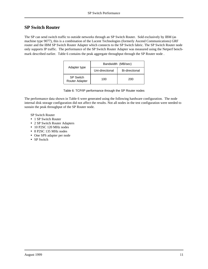#### **SP Switch Router**

The SP can send switch traffic to outside networks through an SP Switch Router. Sold exclusively by IBM (as machine type 9077), this is a combination of the Lucent Technologies (formerly Ascend Communications) GRF router and the IBM SP Switch Router Adapter which connects to the SP Switch fabric. The SP Switch Router node only supports IP traffic. The performance of the SP Switch Router Adapter was measured using the Netperf benchmark described earlier. Table 6 contains the peak aggregate throughput through the SP Router node .

| Adapter type                       | Bandwidth (MB/sec) |                |  |  |
|------------------------------------|--------------------|----------------|--|--|
|                                    | Uni-directional    | Bi-directional |  |  |
| <b>SP Switch</b><br>Router Adapter | 100                | 200            |  |  |

Table 6: TCP/IP performance through the SP Router nodes

The performance data shown in Table 6 were generated using the following hardware configuration. The node internal disk storage configuration did not affect the results. Not all nodes in the test configuration were needed to sustain the peak throughput of the SP Router node.

SP Switch Router

- 1 SP Switch Router
- 2 SP Switch Router Adapters
- 10 P2SC 120 MHz nodes
- ü 8 P2SC 135 MHz nodes
- One SPS adapter per node
- SP Switch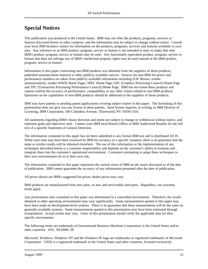#### **Special Notices**

This publication was produced in the United States. IBM may not offer the products, programs, services or features discussed herein in other countries, and the information may be subject to change without notice. Consult your local IBM business contact for information on the products, programs, services and features available in your area. Any reference to an IBM product, program, service or feature is not intended to state or imply that only IBM's product, program, service or feature may be used. Any functionally equivalent product, program, service or feature that does not infringe any of IBM's intellectual property rights may be used instead of the IBM product, program, service or feature.

Information in this paper concerning non-IBM products was obtained from the suppliers of these products, published announcement material or other publicly available sources. Sources for non-IBM list prices and performance numbers are taken from publicly available information including D.H. Brown, vendor announcements, vendor WWW Home Pages, SPEC Home Page, GPC (Graphics Processing Council) Home Page and TPC (Transaction Processing Performance Council) Home Page. IBM has not tested these products and cannot confirm the accuracy of performance, compatibility or any other claims related to non-IBM products. Questions on the capabilities of non-IBM products should be addressed to the suppliers of those products.

IBM may have patents or pending patent applications covering subject matter in this paper. The furnishing of this presentation does not give you any license to these patents. Send license inquires, in writing, to IBM Director of Licensing, IBM Corporation, 500 Columbus Avenue, Thornwood, NY 10594 USA.

All statements regarding IBM's future direction and intent are subject to change or withdrawal without notice, and represent goals and objectives only. Contact your IBM local Branch Office or IBM Authorized Reseller for the full text of a specific Statement of General Direction.

The information contained in this paper has not been submitted to any formal IBM test and is distributed AS IS. While each item may have been reviewed by IBM for accuracy in a specific situation, there is no guarantee that the same or similar results will be obtained elsewhere. The use of this information or the implementation of any techniques described herein is a customer responsibility and depends on the customer's ability to evaluate and integrate them into the customer's operational environment. Customers attempting to adapt these techniques to their own environments do so at their own risk.

The information contained in this paper represents the current views of IBM on the issues discussed as of the date of publication. IBM cannot guarantee the accuracy of any information presented after the date of publication.

All prices shown are IBM's suggested list prices; dealer prices may vary.

IBM products are manufactured from new parts, or new and serviceable used parts. Regardless, our warranty terms apply.

Any performance data contained in this paper was determined in a controlled environment. Therefore, the results obtained in other operating environments may vary significantly. Some measurements quoted in this paper may have been made on development-level systems. There is no guarantee that these measurements will be the same on generally-available systems. Some measurements quoted in this presentation may have been estimated through extrapolation. Actual results may vary. Users of this presentation should verify the applicable data for their specific environment.

The following terms are trademarks of International Business Machines Corporation in the United States and/or other countries: AIX, RS/6000, SP.

Microsoft, Windows, Windows NT and the Windows 95 logo are trademarks or registered trademarks of Microsoft Corporation. UNIX is a registered trademark in the United States and other countries, licensed exclusively